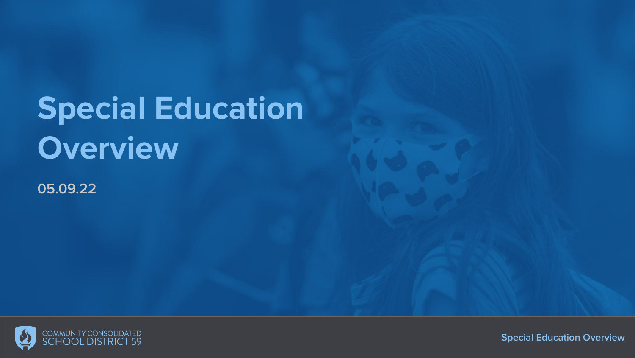# **Special Education Overview**

**05.09.22**

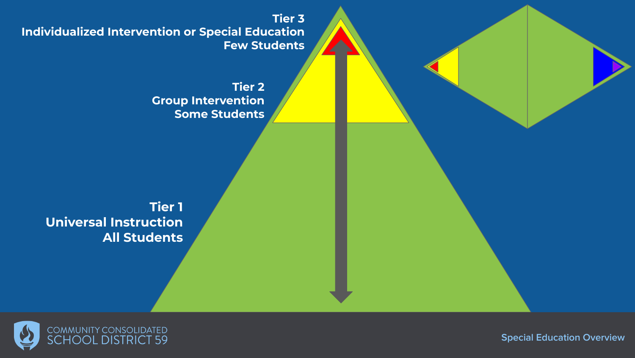**Tier 3 Individualized Intervention or Special Education Few Students**

> **Tier 2 Group Intervention Some Students**

**Tier 1 Universal Instruction All Students**

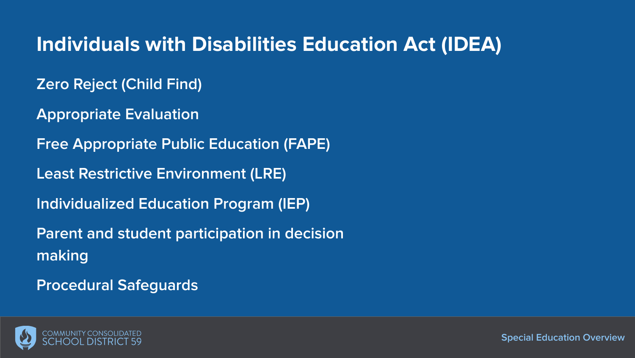## **Individuals with Disabilities Education Act (IDEA)**

- **Zero Reject (Child Find)**
- **Appropriate Evaluation**
- **Free Appropriate Public Education (FAPE)**
- **Least Restrictive Environment (LRE)**
- **Individualized Education Program (IEP)**
- **Parent and student participation in decision making**
- **Procedural Safeguards**

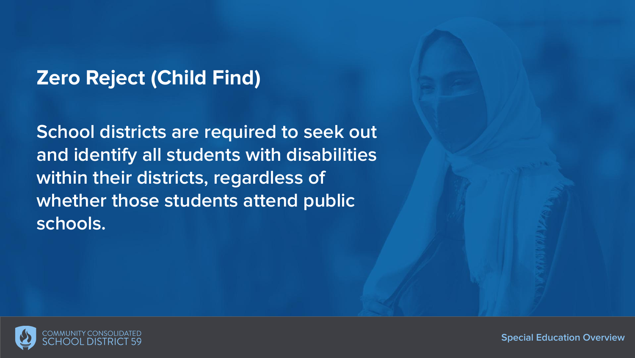## **Zero Reject (Child Find)**

**School districts are required to seek out and identify all students with disabilities within their districts, regardless of whether those students attend public schools.**

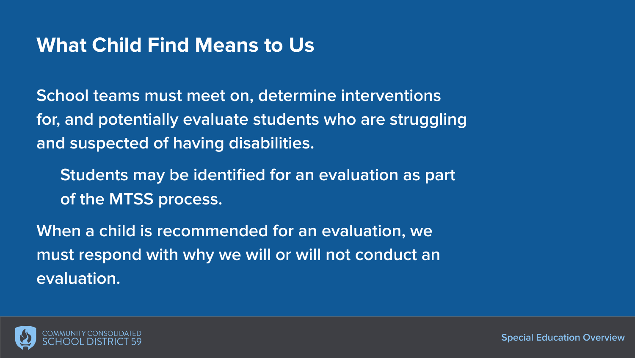#### **What Child Find Means to Us**

**School teams must meet on, determine interventions for, and potentially evaluate students who are struggling and suspected of having disabilities.** 

**Students may be identified for an evaluation as part of the MTSS process.**

**When a child is recommended for an evaluation, we must respond with why we will or will not conduct an evaluation.** 

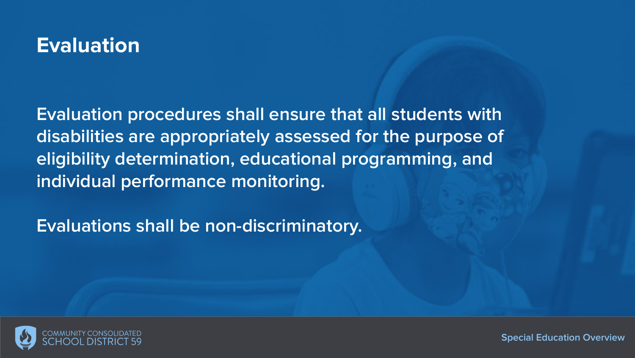## **Evaluation**

**Evaluation procedures shall ensure that all students with disabilities are appropriately assessed for the purpose of eligibility determination, educational programming, and individual performance monitoring.**

**Evaluations shall be non-discriminatory.**

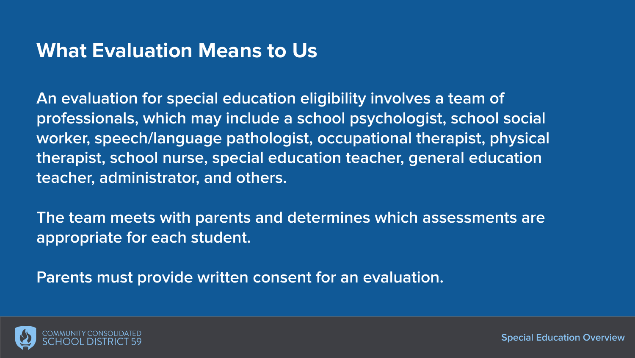#### **What Evaluation Means to Us**

**An evaluation for special education eligibility involves a team of professionals, which may include a school psychologist, school social worker, speech/language pathologist, occupational therapist, physical therapist, school nurse, special education teacher, general education teacher, administrator, and others.** 

**The team meets with parents and determines which assessments are appropriate for each student.**

**Parents must provide written consent for an evaluation.**

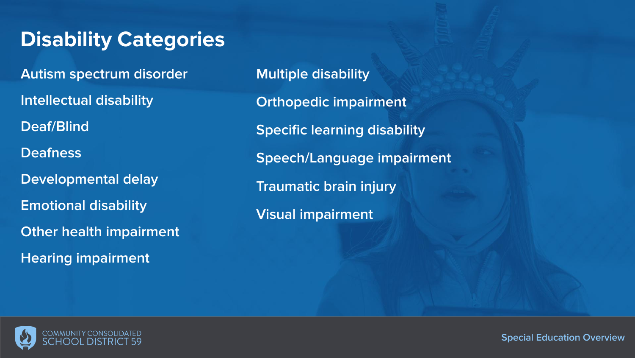## **Disability Categories**

**Autism spectrum disorder Intellectual disability Deaf/Blind Deafness Developmental delay Emotional disability Other health impairment Hearing impairment**

**Multiple disability Orthopedic impairment Specific learning disability Speech/Language impairment Traumatic brain injury Visual impairment**

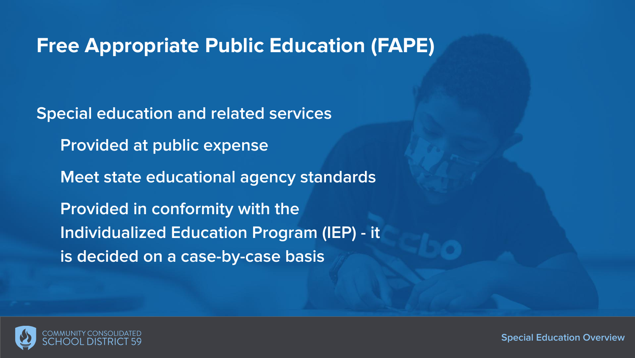#### **Free Appropriate Public Education (FAPE)**

**Special education and related services Provided at public expense Meet state educational agency standards Provided in conformity with the Individualized Education Program (IEP) - it is decided on a case-by-case basis**

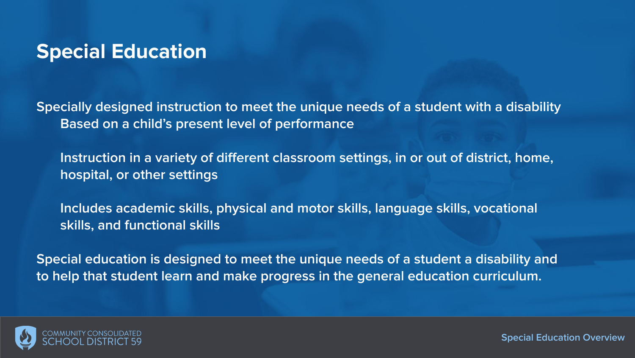#### **Special Education**

**Specially designed instruction to meet the unique needs of a student with a disability Based on a child's present level of performance**

**Instruction in a variety of different classroom settings, in or out of district, home, hospital, or other settings**

**Includes academic skills, physical and motor skills, language skills, vocational skills, and functional skills**

**Special education is designed to meet the unique needs of a student a disability and to help that student learn and make progress in the general education curriculum.**

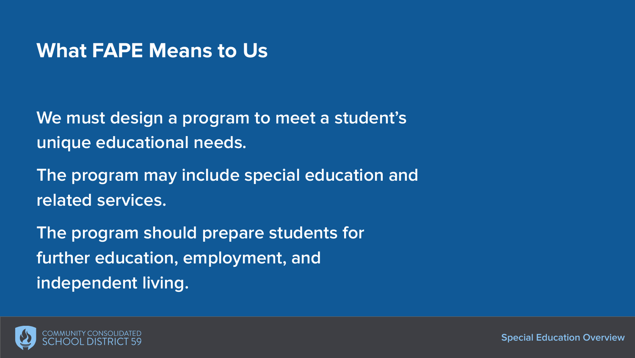#### **What FAPE Means to Us**

**We must design a program to meet a student's unique educational needs.** 

**The program may include special education and related services.**

**The program should prepare students for further education, employment, and independent living.** 

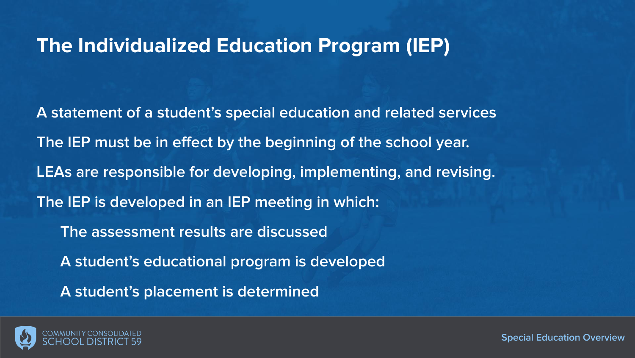#### **The Individualized Education Program (IEP)**

**A statement of a student's special education and related services The IEP must be in effect by the beginning of the school year. LEAs are responsible for developing, implementing, and revising. The IEP is developed in an IEP meeting in which: The assessment results are discussed A student's educational program is developed A student's placement is determined**

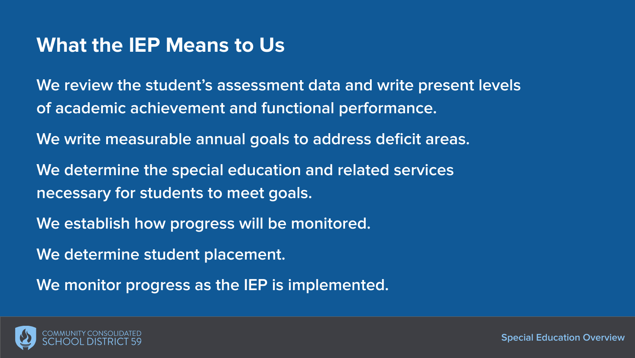#### **What the IEP Means to Us**

**We review the student's assessment data and write present levels of academic achievement and functional performance.**

**We write measurable annual goals to address deficit areas.**

**We determine the special education and related services necessary for students to meet goals.**

**We establish how progress will be monitored.**

**We determine student placement.** 

**We monitor progress as the IEP is implemented.** 

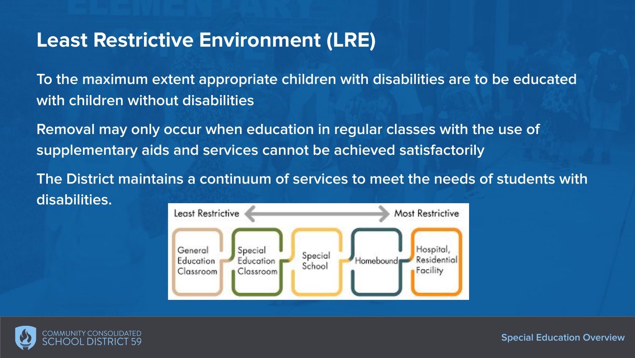#### **Least Restrictive Environment (LRE)**

**To the maximum extent appropriate children with disabilities are to be educated with children without disabilities**

**Removal may only occur when education in regular classes with the use of supplementary aids and services cannot be achieved satisfactorily**

**The District maintains a continuum of services to meet the needs of students with disabilities.**



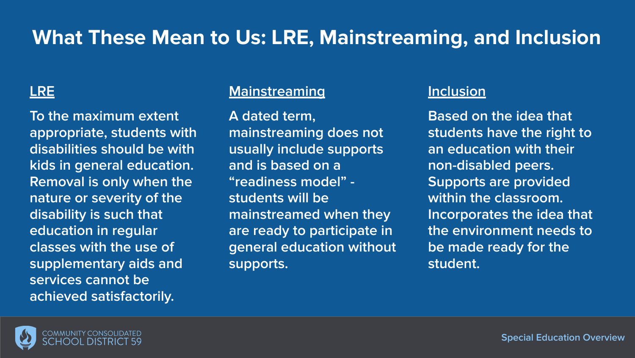## **What These Mean to Us: LRE, Mainstreaming, and Inclusion**

**To the maximum extent appropriate, students with disabilities should be with kids in general education. Removal is only when the nature or severity of the disability is such that education in regular classes with the use of supplementary aids and services cannot be achieved satisfactorily.**

#### **LRE Mainstreaming Inclusion**

**A dated term, mainstreaming does not usually include supports and is based on a "readiness model" students will be mainstreamed when they are ready to participate in general education without supports.** 

**Based on the idea that students have the right to an education with their non-disabled peers. Supports are provided within the classroom. Incorporates the idea that the environment needs to be made ready for the student.** 

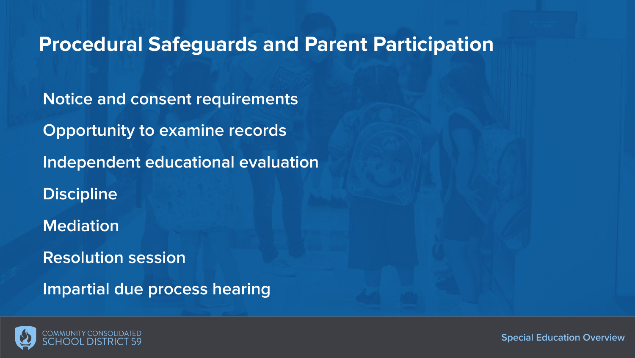#### **Procedural Safeguards and Parent Participation**

**Notice and consent requirements Opportunity to examine records Independent educational evaluation Discipline Mediation Resolution session Impartial due process hearing**

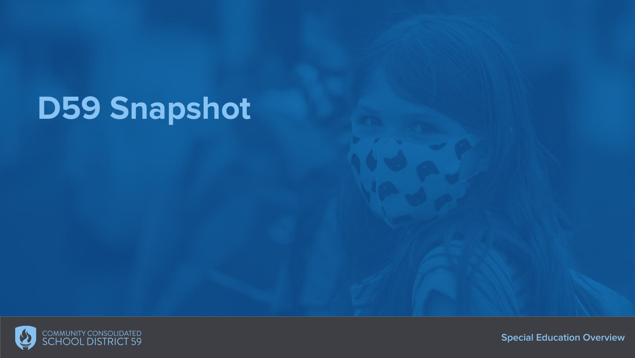# **D59 Snapshot**

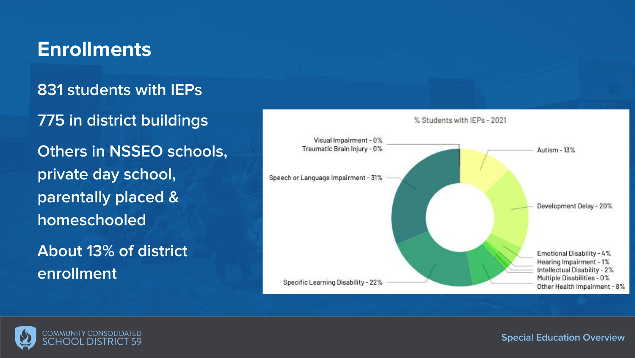## **Enrollments**

#### **831 students with IEPs**

**775 in district buildings Others in NSSEO schools, private day school, parentally placed & homeschooled About 13% of district** 

Visual Impairment - 0% Traumatic Brain Injury - 0% Autism - 13% Speech or Language Impairment - 31% Development Delay - 20% Emotional Disability - 4% Hearing Impairment - 1% Intellectual Disability - 2% Multiple Disabilities - 0% Specific Learning Disability - 22% Other Health Impairment - 8%

% Students with IEPs - 2021



**enrollment**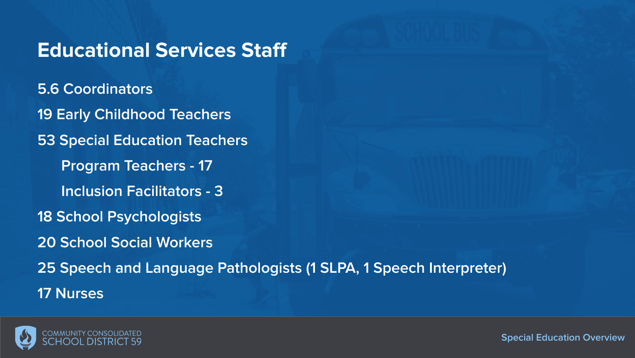#### **Educational Services Staff**

**5.6 Coordinators 19 Early Childhood Teachers 53 Special Education Teachers Program Teachers - 17 Inclusion Facilitators - 3 18 School Psychologists 20 School Social Workers 25 Speech and Language Pathologists (1 SLPA, 1 Speech Interpreter) 17 Nurses**

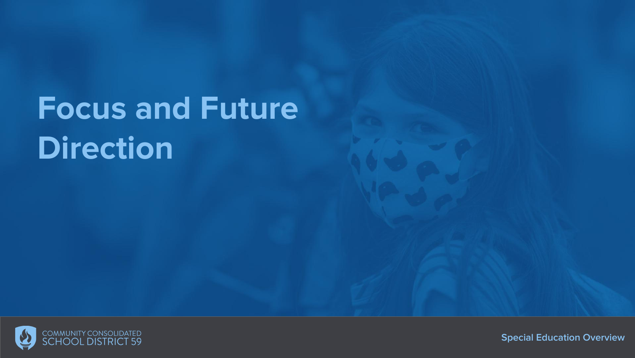# **Focus and Future Direction**

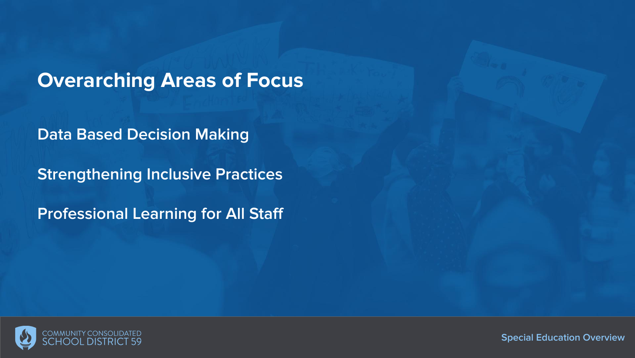**Overarching Areas of Focus**

**Data Based Decision Making**

**Strengthening Inclusive Practices**

**Professional Learning for All Staff**

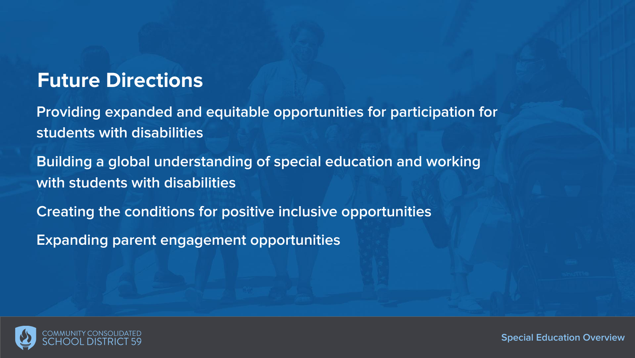#### **Future Directions**

**Providing expanded and equitable opportunities for participation for students with disabilities**

**Building a global understanding of special education and working with students with disabilities**

**Creating the conditions for positive inclusive opportunities**

**Expanding parent engagement opportunities**